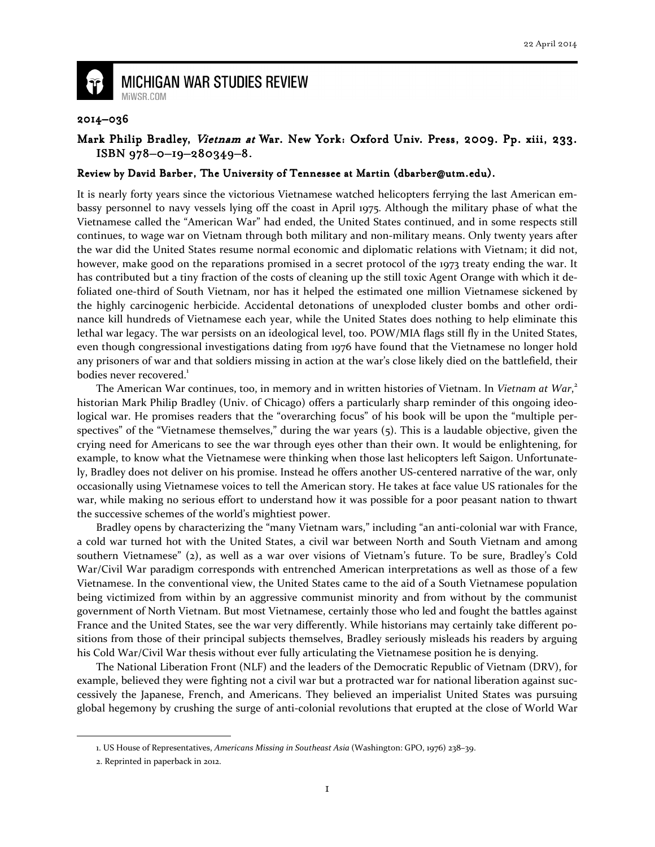

## **MICHIGAN WAR STUDIES REVIEW** MiWSR.COM

## 2014–036

## Mark Philip Bradley, Vietnam at War. New York: Oxford Univ. Press, 2009. Pp. xiii, 233. ISBN 978-0-19-280349-8.

## Review by David Barber, The University of Tennessee at Martin (dbarber@utm.edu).

It is nearly forty years since the victorious Vietnamese watched helicopters ferrying the last American embassy personnel to navy vessels lying off the coast in April 1975. Although the military phase of what the Vietnamese called the "American War" had ended, the United States continued, and in some respects still continues, to wage war on Vietnam through both military and non-military means. Only twenty years after the war did the United States resume normal economic and diplomatic relations with Vietnam; it did not, however, make good on the reparations promised in a secret protocol of the 1973 treaty ending the war. It has contributed but a tiny fraction of the costs of cleaning up the still toxic Agent Orange with which it defoliated one-third of South Vietnam, nor has it helped the estimated one million Vietnamese sickened by the highly carcinogenic herbicide. Accidental detonations of unexploded cluster bombs and other ordinance kill hundreds of Vietnamese each year, while the United States does nothing to help eliminate this lethal war legacy. The war persists on an ideological level, too. POW/MIA flags still fly in the United States, even though congressional investigations dating from 1976 have found that the Vietnamese no longer hold any prisoners of war and that soldiers missing in action at the war's close likely died on the battlefield, their bodies never recovered.<sup>1</sup>

The American War continues, too, in memory and in written histories of Vietnam. In Vietnam at War,<sup>2</sup> historian Mark Philip Bradley (Univ. of Chicago) offers a particularly sharp reminder of this ongoing ideological war. He promises readers that the "overarching focus" of his book will be upon the "multiple perspectives" of the "Vietnamese themselves," during the war years (5). This is a laudable objective, given the crying need for Americans to see the war through eyes other than their own. It would be enlightening, for example, to know what the Vietnamese were thinking when those last helicopters left Saigon. Unfortunately, Bradley does not deliver on his promise. Instead he offers another US-centered narrative of the war, only occasionally using Vietnamese voices to tell the American story. He takes at face value US rationales for the war, while making no serious effort to understand how it was possible for a poor peasant nation to thwart the successive schemes of the world's mightiest power.

 Bradley opens by characterizing the "many Vietnam wars," including "an anti-colonial war with France, a cold war turned hot with the United States, a civil war between North and South Vietnam and among southern Vietnamese" (2), as well as a war over visions of Vietnam's future. To be sure, Bradley's Cold War/Civil War paradigm corresponds with entrenched American interpretations as well as those of a few Vietnamese. In the conventional view, the United States came to the aid of a South Vietnamese population being victimized from within by an aggressive communist minority and from without by the communist government of North Vietnam. But most Vietnamese, certainly those who led and fought the battles against France and the United States, see the war very differently. While historians may certainly take different positions from those of their principal subjects themselves, Bradley seriously misleads his readers by arguing his Cold War/Civil War thesis without ever fully articulating the Vietnamese position he is denying.

 The National Liberation Front (NLF) and the leaders of the Democratic Republic of Vietnam (DRV), for example, believed they were fighting not a civil war but a protracted war for national liberation against successively the Japanese, French, and Americans. They believed an imperialist United States was pursuing global hegemony by crushing the surge of anti-colonial revolutions that erupted at the close of World War

<sup>1.</sup> US House of Representatives, Americans Missing in Southeast Asia (Washington: GPO, 1976) 238–39.

<sup>2.</sup> Reprinted in paperback in 2012.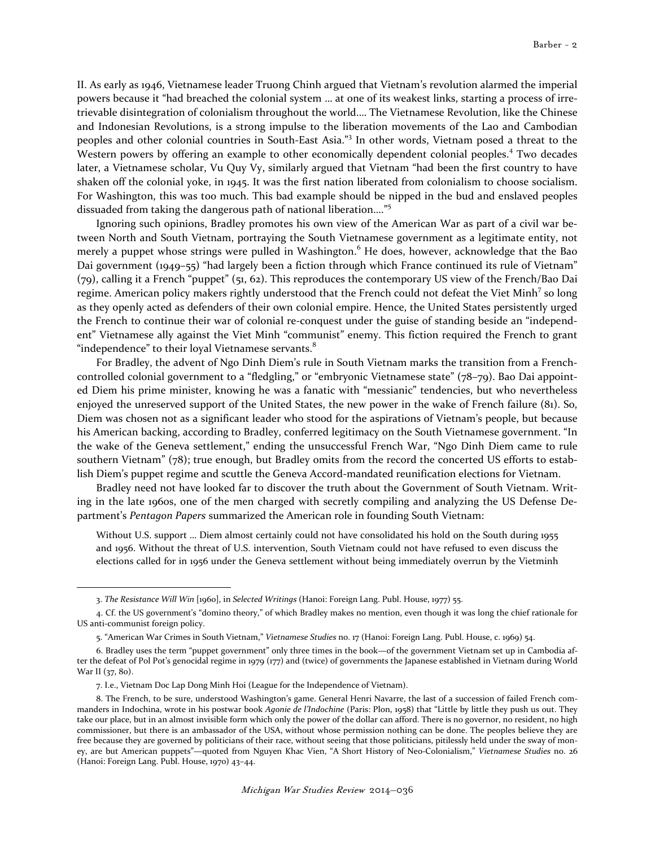II. As early as 1946, Vietnamese leader Truong Chinh argued that Vietnam's revolution alarmed the imperial powers because it "had breached the colonial system … at one of its weakest links, starting a process of irretrievable disintegration of colonialism throughout the world.… The Vietnamese Revolution, like the Chinese and Indonesian Revolutions, is a strong impulse to the liberation movements of the Lao and Cambodian peoples and other colonial countries in South-East Asia."<sup>3</sup> In other words, Vietnam posed a threat to the Western powers by offering an example to other economically dependent colonial peoples.<sup>4</sup> Two decades later, a Vietnamese scholar, Vu Quy Vy, similarly argued that Vietnam "had been the first country to have shaken off the colonial yoke, in 1945. It was the first nation liberated from colonialism to choose socialism. For Washington, this was too much. This bad example should be nipped in the bud and enslaved peoples dissuaded from taking the dangerous path of national liberation…."<sup>5</sup>

 Ignoring such opinions, Bradley promotes his own view of the American War as part of a civil war between North and South Vietnam, portraying the South Vietnamese government as a legitimate entity, not merely a puppet whose strings were pulled in Washington.<sup>6</sup> He does, however, acknowledge that the Bao Dai government (1949–55) "had largely been a fiction through which France continued its rule of Vietnam" (79), calling it a French "puppet" (51, 62). This reproduces the contemporary US view of the French/Bao Dai regime. American policy makers rightly understood that the French could not defeat the Viet Minh<sup>7</sup> so long as they openly acted as defenders of their own colonial empire. Hence, the United States persistently urged the French to continue their war of colonial re-conquest under the guise of standing beside an "independent" Vietnamese ally against the Viet Minh "communist" enemy. This fiction required the French to grant "independence" to their loyal Vietnamese servants.<sup>8</sup>

For Bradley, the advent of Ngo Dinh Diem's rule in South Vietnam marks the transition from a Frenchcontrolled colonial government to a "fledgling," or "embryonic Vietnamese state" (78–79). Bao Dai appointed Diem his prime minister, knowing he was a fanatic with "messianic" tendencies, but who nevertheless enjoyed the unreserved support of the United States, the new power in the wake of French failure (81). So, Diem was chosen not as a significant leader who stood for the aspirations of Vietnam's people, but because his American backing, according to Bradley, conferred legitimacy on the South Vietnamese government. "In the wake of the Geneva settlement," ending the unsuccessful French War, "Ngo Dinh Diem came to rule southern Vietnam" (78); true enough, but Bradley omits from the record the concerted US efforts to establish Diem's puppet regime and scuttle the Geneva Accord-mandated reunification elections for Vietnam.

 Bradley need not have looked far to discover the truth about the Government of South Vietnam. Writing in the late 1960s, one of the men charged with secretly compiling and analyzing the US Defense Department's Pentagon Papers summarized the American role in founding South Vietnam:

Without U.S. support … Diem almost certainly could not have consolidated his hold on the South during 1955 and 1956. Without the threat of U.S. intervention, South Vietnam could not have refused to even discuss the elections called for in 1956 under the Geneva settlement without being immediately overrun by the Vietminh

<sup>3.</sup> The Resistance Will Win [1960], in Selected Writings (Hanoi: Foreign Lang. Publ. House, 1977) 55.

<sup>4.</sup> Cf. the US government's "domino theory," of which Bradley makes no mention, even though it was long the chief rationale for US anti-communist foreign policy.

<sup>5. &</sup>quot;American War Crimes in South Vietnam," Vietnamese Studies no. 17 (Hanoi: Foreign Lang. Publ. House, c. 1969) 54.

<sup>6.</sup> Bradley uses the term "puppet government" only three times in the book—of the government Vietnam set up in Cambodia after the defeat of Pol Pot's genocidal regime in 1979 (177) and (twice) of governments the Japanese established in Vietnam during World War II (37, 80).

<sup>7.</sup> I.e., Vietnam Doc Lap Dong Minh Hoi (League for the Independence of Vietnam).

<sup>8.</sup> The French, to be sure, understood Washington's game. General Henri Navarre, the last of a succession of failed French commanders in Indochina, wrote in his postwar book Agonie de l'Indochine (Paris: Plon, 1958) that "Little by little they push us out. They take our place, but in an almost invisible form which only the power of the dollar can afford. There is no governor, no resident, no high commissioner, but there is an ambassador of the USA, without whose permission nothing can be done. The peoples believe they are free because they are governed by politicians of their race, without seeing that those politicians, pitilessly held under the sway of money, are but American puppets"—quoted from Nguyen Khac Vien, "A Short History of Neo-Colonialism," Vietnamese Studies no. 26 (Hanoi: Foreign Lang. Publ. House, 1970) 43–44.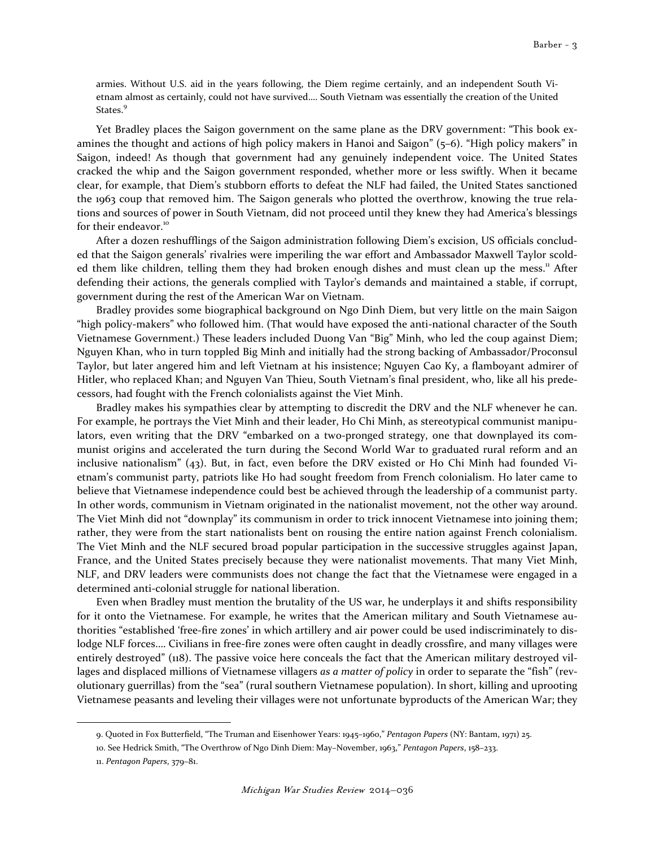armies. Without U.S. aid in the years following, the Diem regime certainly, and an independent South Vietnam almost as certainly, could not have survived…. South Vietnam was essentially the creation of the United States.<sup>9</sup>

 Yet Bradley places the Saigon government on the same plane as the DRV government: "This book examines the thought and actions of high policy makers in Hanoi and Saigon" (5–6). "High policy makers" in Saigon, indeed! As though that government had any genuinely independent voice. The United States cracked the whip and the Saigon government responded, whether more or less swiftly. When it became clear, for example, that Diem's stubborn efforts to defeat the NLF had failed, the United States sanctioned the 1963 coup that removed him. The Saigon generals who plotted the overthrow, knowing the true relations and sources of power in South Vietnam, did not proceed until they knew they had America's blessings for their endeavor.<sup>10</sup>

 After a dozen reshufflings of the Saigon administration following Diem's excision, US officials concluded that the Saigon generals' rivalries were imperiling the war effort and Ambassador Maxwell Taylor scolded them like children, telling them they had broken enough dishes and must clean up the mess.<sup>11</sup> After defending their actions, the generals complied with Taylor's demands and maintained a stable, if corrupt, government during the rest of the American War on Vietnam.

 Bradley provides some biographical background on Ngo Dinh Diem, but very little on the main Saigon "high policy-makers" who followed him. (That would have exposed the anti-national character of the South Vietnamese Government.) These leaders included Duong Van "Big" Minh, who led the coup against Diem; Nguyen Khan, who in turn toppled Big Minh and initially had the strong backing of Ambassador/Proconsul Taylor, but later angered him and left Vietnam at his insistence; Nguyen Cao Ky, a flamboyant admirer of Hitler, who replaced Khan; and Nguyen Van Thieu, South Vietnam's final president, who, like all his predecessors, had fought with the French colonialists against the Viet Minh.

 Bradley makes his sympathies clear by attempting to discredit the DRV and the NLF whenever he can. For example, he portrays the Viet Minh and their leader, Ho Chi Minh, as stereotypical communist manipulators, even writing that the DRV "embarked on a two-pronged strategy, one that downplayed its communist origins and accelerated the turn during the Second World War to graduated rural reform and an inclusive nationalism" (43). But, in fact, even before the DRV existed or Ho Chi Minh had founded Vietnam's communist party, patriots like Ho had sought freedom from French colonialism. Ho later came to believe that Vietnamese independence could best be achieved through the leadership of a communist party. In other words, communism in Vietnam originated in the nationalist movement, not the other way around. The Viet Minh did not "downplay" its communism in order to trick innocent Vietnamese into joining them; rather, they were from the start nationalists bent on rousing the entire nation against French colonialism. The Viet Minh and the NLF secured broad popular participation in the successive struggles against Japan, France, and the United States precisely because they were nationalist movements. That many Viet Minh, NLF, and DRV leaders were communists does not change the fact that the Vietnamese were engaged in a determined anti-colonial struggle for national liberation.

 Even when Bradley must mention the brutality of the US war, he underplays it and shifts responsibility for it onto the Vietnamese. For example, he writes that the American military and South Vietnamese authorities "established 'free-fire zones' in which artillery and air power could be used indiscriminately to dislodge NLF forces.… Civilians in free-fire zones were often caught in deadly crossfire, and many villages were entirely destroyed" (118). The passive voice here conceals the fact that the American military destroyed villages and displaced millions of Vietnamese villagers as a matter of policy in order to separate the "fish" (revolutionary guerrillas) from the "sea" (rural southern Vietnamese population). In short, killing and uprooting Vietnamese peasants and leveling their villages were not unfortunate byproducts of the American War; they

<sup>9.</sup> Quoted in Fox Butterfield, "The Truman and Eisenhower Years: 1945–1960," Pentagon Papers (NY: Bantam, 1971) 25.

<sup>10.</sup> See Hedrick Smith, "The Overthrow of Ngo Dinh Diem: May–November, 1963," Pentagon Papers, 158–233.

<sup>11.</sup> Pentagon Papers, 379–81.